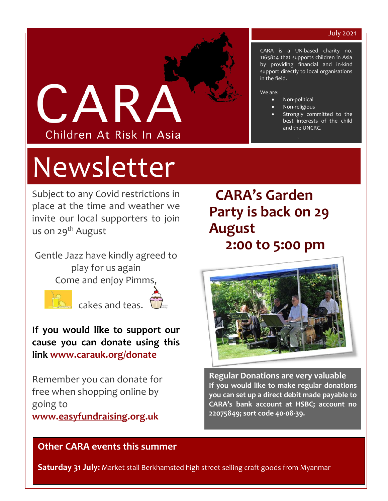#### July 2021

CARA is a UK-based charity no. 1165824 that supports children in Asia by providing financial and in-kind support directly to local organisations

> Strongly committed to the best interests of the child



# Newsletter

Subject to any Covid restrictions in place at the time and weather we invite our local supporters to join us on 29<sup>th</sup> August

Gentle Jazz have kindly agreed to play for us again Come and enjoy Pim[ms,](http://www.graphicsfactory.com/Clip_Art/cup-cake-1_381655.html) 





**If you would like to support our cause you can donate using this link [www.carauk.org/donate](http://www.carauk.org/donate)**

Remember you can donate for free when shopping online by going to

**www[.easyfundraising.](http://www.easyfundraising.org.uk/)org.uk**

## **CARA's Garden Party is back 0n 29 August 2:00 to 5:00 pm**

in the field.

• Non-political • Non-religious

[www.carauk.org](http://www.carauk.org/) 

and the UNCRC.

We are:



**Regular Donations are very valuable If you would like to make regular donations you can set up a direct debit made payable to CARA's bank account at HSBC; account no 22075849; sort code 40-08-39.** 

#### **Other CARA events this summer**

**Saturday 31 July:** Market stall Berkhamsted high street selling craft goods from Myanmar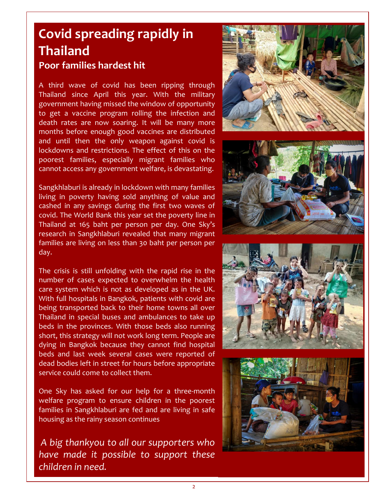## **Covid spreading rapidly in Thailand Poor families hardest hit**

A third wave of covid has been ripping through Thailand since April this year. With the military government having missed the window of opportunity to get a vaccine program rolling the infection and death rates are now soaring. It will be many more months before enough good vaccines are distributed and until then the only weapon against covid is lockdowns and restrictions. The effect of this on the poorest families, especially migrant families who cannot access any government welfare, is devastating.

Sangkhlaburi is already in lockdown with many families living in poverty having sold anything of value and cashed in any savings during the first two waves of covid. The World Bank this year set the poverty line in Thailand at 165 baht per person per day. One Sky's research in Sangkhlaburi revealed that many migrant families are living on less than 30 baht per person per day.

The crisis is still unfolding with the rapid rise in the number of cases expected to overwhelm the health care system which is not as developed as in the UK. With full hospitals in Bangkok, patients with covid are being transported back to their home towns all over Thailand in special buses and ambulances to take up beds in the provinces. With those beds also running short, this strategy will not work long term. People are dying in Bangkok because they cannot find hospital beds and last week several cases were reported of dead bodies left in street for hours before appropriate service could come to collect them.

One Sky has asked for our help for a three-month welfare program to ensure children in the poorest families in Sangkhlaburi are fed and are living in safe housing as the rainy season continues

*A big thankyou to all our supporters who have made it possible to support these children in need.*

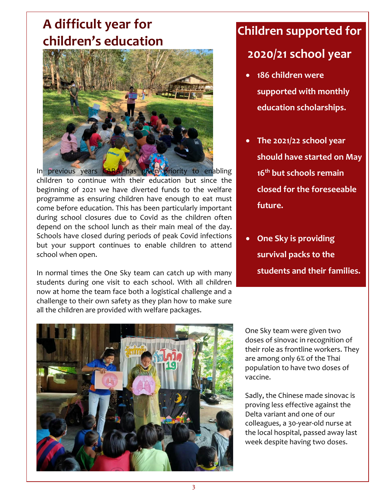## **A difficult year for children's education**



children to continue with their education but since the beginning of 2021 we have diverted funds to the welfare programme as ensuring children have enough to eat must come before education. This has been particularly important during school closures due to Covid as the children often depend on the school lunch as their main meal of the day. Schools have closed during periods of peak Covid infections but your support continues to enable children to attend school when open.

In normal times the One Sky team can catch up with many students during one visit to each school. With all children now at home the team face both a logistical challenge and a challenge to their own safety as they plan how to make sure all the children are provided with welfare packages.

## **Children supported for**

### **2020/21 school year**

- **186 children were supported with monthly education scholarships.**
- **The 2021/22 school year should have started on May 16th but schools remain closed for the foreseeable future.**
- **One Sky is providing survival packs to the students and their families.**



One Sky team were given two doses of sinovac in recognition of their role as frontline workers. They are among only 6% of the Thai population to have two doses of vaccine.

Sadly, the Chinese made sinovac is proving less effective against the Delta variant and one of our colleagues, a 30-year-old nurse at the local hospital, passed away last week despite having two doses.